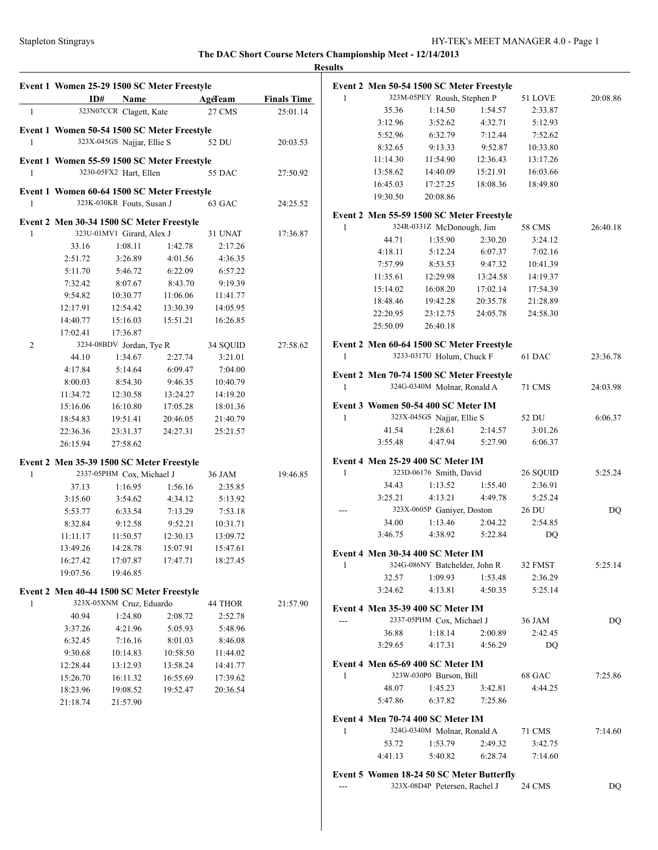|              |          | Event 1 Women 25-29 1500 SC Meter Freestyle                              |                          |                    |                    | Event 2 1    |
|--------------|----------|--------------------------------------------------------------------------|--------------------------|--------------------|--------------------|--------------|
|              | ID#      | Name                                                                     | <b>Example 2</b> AgeTeam |                    | <b>Finals Time</b> | $\mathbf{1}$ |
| $\mathbf{1}$ |          | 323N07CCR Clagett, Kate                                                  |                          | 27 CMS             | 25:01.14           |              |
|              |          | Event 1 Women 50-54 1500 SC Meter Freestyle                              |                          |                    |                    |              |
| 1            |          | 323X-045GS Najjar, Ellie S                                               |                          | 52 DU              | 20:03.53           |              |
|              |          | Event 1 Women 55-59 1500 SC Meter Freestyle                              |                          |                    |                    |              |
| $\mathbf{1}$ |          | 3230-05FX2 Hart, Ellen                                                   |                          | 55 DAC             | 27:50.92           |              |
|              |          |                                                                          |                          |                    |                    |              |
| $\mathbf{1}$ |          | Event 1 Women 60-64 1500 SC Meter Freestyle<br>323K-030KR Fouts, Susan J |                          | 63 GAC             | 24:25.52           |              |
|              |          |                                                                          |                          |                    |                    | Event 2 1    |
|              |          | Event 2 Men 30-34 1500 SC Meter Freestyle                                |                          |                    |                    | $\mathbf{1}$ |
| $\mathbf{1}$ | 33.16    | 323U-01MV1 Girard, Alex J<br>1:08.11                                     | 1:42.78                  | 31 UNAT<br>2:17.26 | 17:36.87           |              |
|              | 2:51.72  | 3:26.89                                                                  | 4:01.56                  | 4:36.35            |                    |              |
|              | 5:11.70  | 5:46.72                                                                  | 6:22.09                  | 6:57.22            |                    |              |
|              | 7:32.42  | 8:07.67                                                                  | 8:43.70                  | 9:19.39            |                    |              |
|              | 9:54.82  | 10:30.77                                                                 | 11:06.06                 | 11:41.77           |                    |              |
|              | 12:17.91 | 12:54.42                                                                 | 13:30.39                 | 14:05.95           |                    |              |
|              | 14:40.77 | 15:16.03                                                                 | 15:51.21                 | 16:26.85           |                    |              |
|              | 17:02.41 | 17:36.87                                                                 |                          |                    |                    |              |
| 2            |          | 3234-08BDV Jordan, Tye R                                                 |                          | 34 SQUID           | 27:58.62           | Event 2 1    |
|              | 44.10    | 1:34.67                                                                  | 2:27.74                  | 3:21.01            |                    | $\mathbf{1}$ |
|              | 4:17.84  | 5:14.64                                                                  | 6:09.47                  | 7:04.00            |                    |              |
|              | 8:00.03  | 8:54.30                                                                  | 9:46.35                  | 10:40.79           |                    | Event 2 1    |
|              | 11:34.72 | 12:30.58                                                                 | 13:24.27                 | 14:19.20           |                    | $\mathbf{1}$ |
|              | 15:16.06 | 16:10.80                                                                 | 17:05.28                 | 18:01.36           |                    | Event 3      |
|              | 18:54.83 | 19:51.41                                                                 | 20:46.05                 | 21:40.79           |                    | 1            |
|              | 22:36.36 | 23:31.37                                                                 | 24:27.31                 | 25:21.57           |                    |              |
|              | 26:15.94 | 27:58.62                                                                 |                          |                    |                    |              |
|              |          |                                                                          |                          |                    |                    | Event 4      |
| $\mathbf{1}$ |          | Event 2 Men 35-39 1500 SC Meter Freestyle<br>2337-05PHM Cox, Michael J   |                          | 36 JAM             | 19:46.85           | 1            |
|              | 37.13    | 1:16.95                                                                  | 1:56.16                  | 2:35.85            |                    |              |
|              | 3:15.60  | 3:54.62                                                                  | 4:34.12                  | 5:13.92            |                    |              |
|              | 5:53.77  | 6:33.54                                                                  | 7:13.29                  | 7:53.18            |                    |              |
|              | 8:32.84  | 9:12.58                                                                  | 9:52.21                  | 10:31.71           |                    |              |
|              | 11:11.17 | 11:50.57                                                                 | 12:30.13                 | 13:09.72           |                    |              |
|              | 13:49.26 | 14:28.78                                                                 | 15:07.91                 | 15:47.61           |                    |              |
|              | 16:27.42 | 17:07.87                                                                 | 17:47.71                 | 18:27.45           |                    | Event 4 1    |
|              | 19:07.56 | 19:46.85                                                                 |                          |                    |                    | 1            |
|              |          |                                                                          |                          |                    |                    |              |
| 1            |          | Event 2 Men 40-44 1500 SC Meter Freestyle<br>323X-05XNM Cruz, Eduardo    |                          | 44 THOR            | 21:57.90           |              |
|              | 40.94    | 1:24.80                                                                  | 2:08.72                  | 2:52.78            |                    | Event 4 1    |
|              | 3:37.26  | 4:21.96                                                                  | 5:05.93                  | 5:48.96            |                    |              |
|              | 6:32.45  | 7:16.16                                                                  | 8:01.03                  | 8:46.08            |                    |              |
|              | 9:30.68  | 10:14.83                                                                 | 10:58.50                 | 11:44.02           |                    |              |
|              | 12:28.44 | 13:12.93                                                                 | 13:58.24                 | 14:41.77           |                    | Event 4 1    |
|              | 15:26.70 | 16:11.32                                                                 | 16:55.69                 | 17:39.62           |                    | 1            |
|              | 18:23.96 | 19:08.52                                                                 | 19:52.47                 | 20:36.54           |                    |              |
|              | 21:18.74 | 21:57.90                                                                 |                          |                    |                    |              |
|              |          |                                                                          |                          |                    |                    | Event 4 1    |
|              |          |                                                                          |                          |                    |                    | 1            |
|              |          |                                                                          |                          |                    |                    |              |
|              |          |                                                                          |                          |                    |                    |              |
|              |          |                                                                          |                          |                    |                    | Event 5      |
|              |          |                                                                          |                          |                    |                    |              |

|              |          | Event 2 Men 50-54 1500 SC Meter Freestyle                                  |          |                   |          |
|--------------|----------|----------------------------------------------------------------------------|----------|-------------------|----------|
| 1            |          | 323M-05PEY Roush, Stephen P                                                |          | 51 LOVE           | 20:08.86 |
|              | 35.36    | 1:14.50                                                                    | 1:54.57  | 2:33.87           |          |
|              | 3:12.96  | 3:52.62                                                                    | 4:32.71  | 5:12.93           |          |
|              | 5:52.96  | 6:32.79                                                                    | 7:12.44  | 7:52.62           |          |
|              | 8:32.65  | 9:13.33                                                                    | 9:52.87  | 10:33.80          |          |
|              | 11:14.30 | 11:54.90                                                                   | 12:36.43 | 13:17.26          |          |
|              | 13:58.62 | 14:40.09                                                                   | 15:21.91 | 16:03.66          |          |
|              | 16:45.03 | 17:27.25                                                                   | 18:08.36 | 18:49.80          |          |
|              | 19:30.50 | 20:08.86                                                                   |          |                   |          |
|              |          | Event 2 Men 55-59 1500 SC Meter Freestyle                                  |          |                   |          |
| 1            |          | 324R-0331Z McDonough, Jim                                                  |          | 58 CMS            | 26:40.18 |
|              | 44.71    | 1:35.90                                                                    | 2:30.20  | 3:24.12           |          |
|              | 4:18.11  | 5:12.24                                                                    | 6:07.37  | 7:02.16           |          |
|              | 7:57.99  | 8:53.53                                                                    | 9:47.32  | 10:41.39          |          |
|              | 11:35.61 | 12:29.98                                                                   | 13:24.58 | 14:19.37          |          |
|              | 15:14.02 | 16:08.20                                                                   | 17:02.14 | 17:54.39          |          |
|              | 18:48.46 | 19:42.28                                                                   | 20:35.78 | 21:28.89          |          |
|              | 22:20.95 | 23:12.75                                                                   | 24:05.78 | 24:58.30          |          |
|              | 25:50.09 | 26:40.18                                                                   |          |                   |          |
|              |          | Event 2 Men 60-64 1500 SC Meter Freestyle                                  |          |                   |          |
| 1            |          | 3233-0317U Holum, Chuck F                                                  |          | 61 DAC            | 23:36.78 |
|              |          |                                                                            |          |                   |          |
|              |          | Event 2 Men 70-74 1500 SC Meter Freestyle                                  |          |                   |          |
| 1            |          | 324G-0340M Molnar, Ronald A                                                |          | <b>71 CMS</b>     | 24:03.98 |
|              |          | Event 3 Women 50-54 400 SC Meter IM                                        |          |                   |          |
| 1            |          | 323X-045GS Najjar, Ellie S                                                 |          | 52 DU             | 6:06.37  |
|              | 41.54    | 1:28.61                                                                    | 2:14.57  | 3:01.26           |          |
|              | 3:55.48  | 4:47.94                                                                    | 5:27.90  | 6:06.37           |          |
|              |          | Event 4 Men 25-29 400 SC Meter IM                                          |          |                   |          |
| 1            |          | 323D-06176 Smith, David                                                    |          | 26 SQUID          | 5:25.24  |
|              | 34.43    | 1:13.52                                                                    | 1:55.40  | 2:36.91           |          |
|              | 3:25.21  | 4:13.21                                                                    | 4:49.78  | 5:25.24           |          |
|              |          | 323X-0605P Ganiyer, Doston                                                 |          | $26\;\mathrm{DU}$ | DQ       |
|              | 34.00    | 1:13.46                                                                    | 2:04.22  | 2:54.85           |          |
|              | 3:46.75  | 4:38.92                                                                    | 5:22.84  | DQ                |          |
|              |          | Event 4 Men 30-34 400 SC Meter IM                                          |          |                   |          |
| $\mathbf{1}$ |          | 324G-086NY Batchelder, John R                                              |          | 32 FMST           | 5:25.14  |
|              | 32.57    | 1:09.93                                                                    | 1:53.48  | 2:36.29           |          |
|              | 3:24.62  | 4:13.81                                                                    | 4:50.35  | 5:25.14           |          |
|              |          |                                                                            |          |                   |          |
|              |          | Event 4 Men 35-39 400 SC Meter IM                                          |          |                   |          |
|              |          | 2337-05PHM Cox, Michael J                                                  |          | 36 JAM            | DQ       |
|              | 36.88    | 1:18.14                                                                    | 2:00.89  | 2:42.45           |          |
|              | 3:29.65  | 4:17.31                                                                    | 4:56.29  | DQ                |          |
|              |          | Event 4 Men 65-69 400 SC Meter IM                                          |          |                   |          |
| 1            |          | 323W-030P0 Burson, Bill                                                    |          | 68 GAC            | 7:25.86  |
|              | 48.07    | 1:45.23                                                                    | 3:42.81  | 4:44.25           |          |
|              | 5:47.86  | 6:37.82                                                                    | 7:25.86  |                   |          |
|              |          | Event 4 Men 70-74 400 SC Meter IM                                          |          |                   |          |
| 1            |          | 324G-0340M Molnar, Ronald A                                                |          | 71 CMS            | 7:14.60  |
|              | 53.72    | 1:53.79                                                                    | 2:49.32  | 3:42.75           |          |
|              | 4:41.13  | 5:40.82                                                                    | 6:28.74  | 7:14.60           |          |
|              |          |                                                                            |          |                   |          |
|              |          | Event 5 Women 18-24 50 SC Meter Butterfly<br>323X-08D4P Petersen, Rachel J |          | 24 CMS            | DQ       |
|              |          |                                                                            |          |                   |          |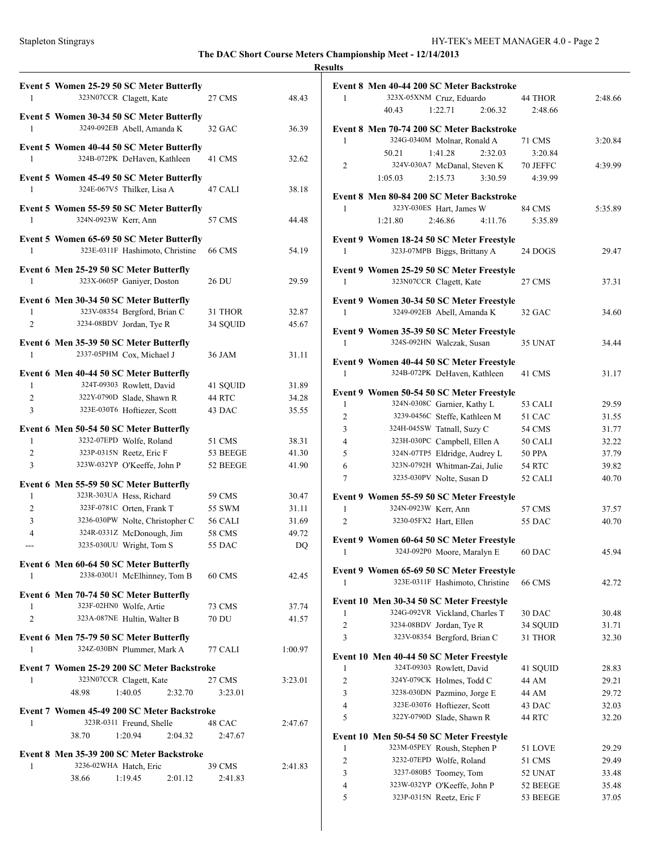### **Results**

| 1              | Event 5 Women 25-29 50 SC Meter Butterfly<br>323N07CCR Clagett, Kate    | 27 CMS             | 48.43          |
|----------------|-------------------------------------------------------------------------|--------------------|----------------|
|                |                                                                         |                    |                |
|                | Event 5 Women 30-34 50 SC Meter Butterfly<br>3249-092EB Abell, Amanda K |                    |                |
| 1              |                                                                         | 32 GAC             | 36.39          |
|                | Event 5 Women 40-44 50 SC Meter Butterfly                               |                    |                |
| 1              | 324B-072PK DeHaven, Kathleen                                            | 41 CMS             | 32.62          |
|                | Event 5 Women 45-49 50 SC Meter Butterfly                               |                    |                |
| 1              | 324E-067V5 Thilker, Lisa A                                              | 47 CALI            | 38.18          |
|                | Event 5 Women 55-59 50 SC Meter Butterfly                               |                    |                |
| $\mathbf{1}$   | 324N-0923W Kerr, Ann                                                    | 57 CMS             | 44.48          |
|                | Event 5 Women 65-69 50 SC Meter Butterfly                               |                    |                |
| 1              | 323E-0311F Hashimoto, Christine                                         | <b>66 CMS</b>      | 54.19          |
|                | Event 6 Men 25-29 50 SC Meter Butterfly                                 |                    |                |
| 1              | 323X-0605P Ganiyer, Doston                                              | 26 DU              | 29.59          |
|                | Event 6 Men 30-34 50 SC Meter Butterfly                                 |                    |                |
| 1              | 323V-08354 Bergford, Brian C                                            | 31 THOR            | 32.87          |
| $\overline{c}$ | 3234-08BDV Jordan, Tye R                                                | 34 SQUID           | 45.67          |
|                | Event 6 Men 35-39 50 SC Meter Butterfly                                 |                    |                |
| 1              | 2337-05PHM Cox, Michael J                                               | 36 JAM             | 31.11          |
|                | Event 6 Men 40-44 50 SC Meter Butterfly                                 |                    |                |
| 1              | 324T-09303 Rowlett, David                                               | 41 SQUID           | 31.89          |
| $\overline{2}$ | 322Y-0790D Slade, Shawn R                                               | 44 RTC             | 34.28          |
| 3              | 323E-030T6 Hoftiezer, Scott                                             | 43 DAC             | 35.55          |
|                |                                                                         |                    |                |
| 1              | Event 6 Men 50-54 50 SC Meter Butterfly<br>3232-07EPD Wolfe, Roland     |                    |                |
| 2              | 323P-0315N Reetz, Eric F                                                | 51 CMS<br>53 BEEGE | 38.31<br>41.30 |
| 3              | 323W-032YP O'Keeffe, John P                                             | 52 BEEGE           | 41.90          |
|                |                                                                         |                    |                |
| 1              | Event 6 Men 55-59 50 SC Meter Butterfly<br>323R-303UA Hess, Richard     | 59 CMS             | 30.47          |
| 2              | 323F-0781C Orten, Frank T                                               | 55 SWM             | 31.11          |
| 3              | 3236-030PW Nolte, Christopher C                                         | 56 CALI            | 31.69          |
| 4              | 324R-0331Z McDonough, Jim                                               | 58 CMS             | 49.72          |
| ---            | 3235-030UU Wright, Tom S                                                | 55 DAC             | DQ             |
|                |                                                                         |                    |                |
| 1              | Event 6 Men 60-64 50 SC Meter Butterfly                                 |                    | 42.45          |
|                | 2338-030U1 McElhinney, Tom B                                            | 60 CMS             |                |
|                | Event 6 Men 70-74 50 SC Meter Butterfly                                 |                    |                |
| 1              | 323F-02HN0 Wolfe, Artie                                                 | 73 CMS             | 37.74          |
| 2              | 323A-087NE Hultin, Walter B                                             | 70 DU              | 41.57          |
|                | Event 6 Men 75-79 50 SC Meter Butterfly                                 |                    |                |
| 1              | 324Z-030BN Plummer, Mark A                                              | 77 CALI            | 1:00.97        |
|                | Event 7 Women 25-29 200 SC Meter Backstroke                             |                    |                |
| 1              | 323N07CCR Clagett, Kate                                                 | 27 CMS             | 3:23.01        |
|                | 48.98<br>1:40.05<br>2:32.70                                             | 3:23.01            |                |
|                | Event 7 Women 45-49 200 SC Meter Backstroke                             |                    |                |
| 1              | 323R-0311 Freund, Shelle                                                | 48 CAC             | 2:47.67        |
|                | 1:20.94<br>38.70<br>2:04.32                                             | 2:47.67            |                |
|                | Event 8 Men 35-39 200 SC Meter Backstroke                               |                    |                |
| 1              | 3236-02WHA Hatch, Eric                                                  | 39 CMS             | 2:41.83        |
|                | 38.66<br>1:19.45<br>2:01.12                                             | 2:41.83            |                |
|                |                                                                         |                    |                |
|                |                                                                         |                    |                |

|                |                      | Event 8 Men 40-44 200 SC Meter Backstroke                                 |               |         |
|----------------|----------------------|---------------------------------------------------------------------------|---------------|---------|
| 1              |                      | 323X-05XNM Cruz, Eduardo                                                  | 44 THOR       | 2:48.66 |
|                | 40.43                | 1:22.71<br>2:06.32                                                        | 2:48.66       |         |
|                |                      |                                                                           |               |         |
|                |                      | Event 8 Men 70-74 200 SC Meter Backstroke                                 |               |         |
| 1              |                      | 324G-0340M Molnar, Ronald A                                               | 71 CMS        | 3:20.84 |
|                | 50.21                | 1:41.28<br>2:32.03                                                        | 3:20.84       |         |
| 2              |                      | 324V-030A7 McDanal, Steven K                                              | 70 JEFFC      | 4:39.99 |
|                | 1:05.03              | 2:15.73<br>3:30.59                                                        | 4:39.99       |         |
|                |                      | Event 8 Men 80-84 200 SC Meter Backstroke                                 |               |         |
| 1              |                      | 323Y-030ES Hart, James W                                                  | 84 CMS        | 5:35.89 |
|                | 1:21.80              | 2:46.86<br>4:11.76                                                        | 5:35.89       |         |
|                |                      |                                                                           |               |         |
|                |                      | Event 9 Women 18-24 50 SC Meter Freestyle                                 |               |         |
| 1              |                      | 323J-07MPB Biggs, Brittany A                                              | 24 DOGS       | 29.47   |
|                |                      | Event 9 Women 25-29 50 SC Meter Freestyle                                 |               |         |
| 1              |                      | 323N07CCR Clagett, Kate                                                   | 27 CMS        | 37.31   |
|                |                      |                                                                           |               |         |
|                |                      | Event 9 Women 30-34 50 SC Meter Freestyle                                 |               |         |
| 1              |                      | 3249-092EB Abell, Amanda K                                                | 32 GAC        | 34.60   |
|                |                      | Event 9 Women 35-39 50 SC Meter Freestyle                                 |               |         |
| 1              |                      | 324S-092HN Walczak, Susan                                                 | 35 UNAT       | 34.44   |
|                |                      |                                                                           |               |         |
| 1              |                      | Event 9 Women 40-44 50 SC Meter Freestyle<br>324B-072PK DeHaven, Kathleen | 41 CMS        |         |
|                |                      |                                                                           |               | 31.17   |
|                |                      | Event 9 Women 50-54 50 SC Meter Freestyle                                 |               |         |
| $\mathbf{1}$   |                      | 324N-0308C Garnier, Kathy L                                               | 53 CALI       | 29.59   |
| 2              |                      | 3239-0456C Steffe, Kathleen M                                             | 51 CAC        | 31.55   |
| 3              |                      | 324H-045SW Tatnall, Suzy C                                                | 54 CMS        | 31.77   |
| 4              |                      | 323H-030PC Campbell, Ellen A                                              | 50 CALI       | 32.22   |
| 5              |                      | 324N-07TP5 Eldridge, Audrey L                                             | <b>50 PPA</b> | 37.79   |
| 6              |                      | 323N-0792H Whitman-Zai, Julie                                             | 54 RTC        | 39.82   |
| 7              |                      | 3235-030PV Nolte, Susan D                                                 | 52 CALI       | 40.70   |
|                |                      |                                                                           |               |         |
| $\mathbf{1}$   | 324N-0923W Kerr, Ann | Event 9 Women 55-59 50 SC Meter Freestyle                                 | 57 CMS        | 37.57   |
| $\overline{c}$ |                      | 3230-05FX2 Hart, Ellen                                                    | 55 DAC        | 40.70   |
|                |                      |                                                                           |               |         |
|                |                      | Event 9 Women 60-64 50 SC Meter Freestyle                                 |               |         |
| 1              |                      | 324J-092P0 Moore, Maralyn E                                               | 60 DAC        | 45.94   |
|                |                      | Event 9 Women 65-69 50 SC Meter Freestyle                                 |               |         |
| 1              |                      | 323E-0311F Hashimoto, Christine                                           | <b>66 CMS</b> | 42.72   |
|                |                      |                                                                           |               |         |
|                |                      | Event 10 Men 30-34 50 SC Meter Freestyle                                  |               |         |
| 1              |                      | 324G-092VR Vickland, Charles T                                            | 30 DAC        | 30.48   |
| 2              |                      | 3234-08BDV Jordan, Tye R                                                  | 34 SQUID      | 31.71   |
| 3              |                      | 323V-08354 Bergford, Brian C                                              | 31 THOR       | 32.30   |
|                |                      | Event 10 Men 40-44 50 SC Meter Freestyle                                  |               |         |
| 1              |                      | 324T-09303 Rowlett, David                                                 | 41 SQUID      | 28.83   |
| $\overline{2}$ |                      | 324Y-079CK Holmes, Todd C                                                 | 44 AM         | 29.21   |
| 3              |                      | 3238-030DN Pazmino, Jorge E                                               | 44 AM         | 29.72   |
| 4              |                      | 323E-030T6 Hoftiezer, Scott                                               | 43 DAC        | 32.03   |
| 5              |                      | 322Y-0790D Slade, Shawn R                                                 | 44 RTC        | 32.20   |
|                |                      |                                                                           |               |         |
| 1              |                      | Event 10 Men 50-54 50 SC Meter Freestyle<br>323M-05PEY Roush, Stephen P   | 51 LOVE       | 29.29   |
| 2              |                      | 3232-07EPD Wolfe, Roland                                                  | 51 CMS        | 29.49   |
| 3              |                      | 3237-080B5 Toomey, Tom                                                    | 52 UNAT       | 33.48   |
| 4              |                      | 323W-032YP O'Keeffe, John P                                               | 52 BEEGE      | 35.48   |
| 5              |                      | 323P-0315N Reetz, Eric F                                                  | 53 BEEGE      | 37.05   |
|                |                      |                                                                           |               |         |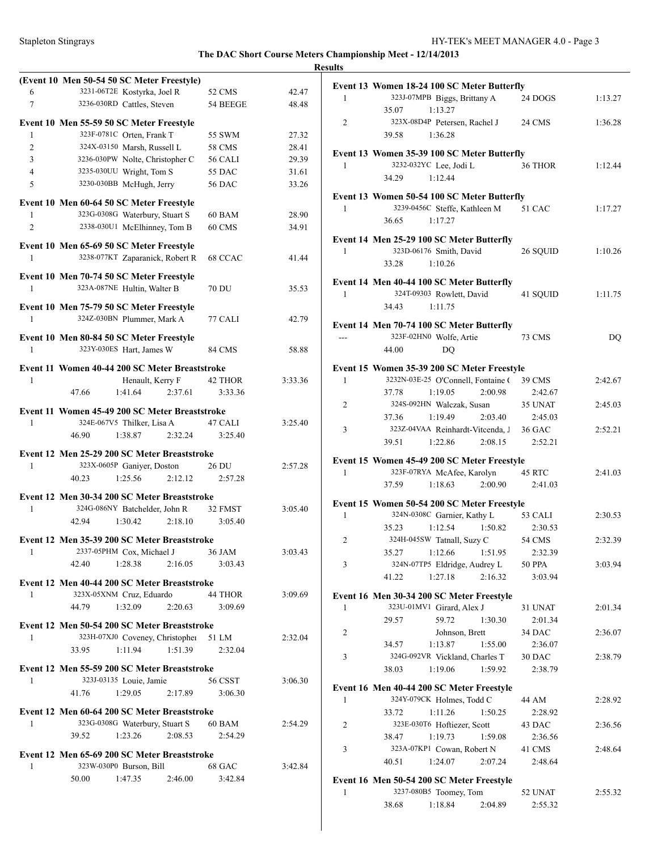|                |       |                                                                                 |         |               |         | <b>Results</b> |
|----------------|-------|---------------------------------------------------------------------------------|---------|---------------|---------|----------------|
| 6              |       | (Event 10 Men 50-54 50 SC Meter Freestyle)<br>3231-06T2E Kostyrka, Joel R       |         | 52 CMS        | 42.47   | Ev             |
| $\overline{7}$ |       | 3236-030RD Cattles, Steven                                                      |         | 54 BEEGE      | 48.48   |                |
|                |       |                                                                                 |         |               |         |                |
| 1              |       | Event 10 Men 55-59 50 SC Meter Freestyle<br>323F-0781C Orten, Frank T           |         | 55 SWM        | 27.32   | 2              |
| $\overline{c}$ |       | 324X-03150 Marsh, Russell L                                                     |         | 58 CMS        | 28.41   |                |
| 3              |       | 3236-030PW Nolte, Christopher C                                                 |         | 56 CALI       | 29.39   | Ev             |
| $\overline{4}$ |       | 3235-030UU Wright, Tom S                                                        |         | 55 DAC        | 31.61   |                |
| 5              |       | 3230-030BB McHugh, Jerry                                                        |         | <b>56 DAC</b> | 33.26   |                |
|                |       | Event 10 Men 60-64 50 SC Meter Freestyle                                        |         |               |         | Ev             |
| 1              |       | 323G-0308G Waterbury, Stuart S                                                  |         | 60 BAM        | 28.90   |                |
| 2              |       | 2338-030U1 McElhinney, Tom B                                                    |         | 60 CMS        | 34.91   |                |
|                |       | Event 10 Men 65-69 50 SC Meter Freestyle                                        |         |               |         | Ev             |
| 1              |       | 3238-077KT Zaparanick, Robert R                                                 |         | 68 CCAC       | 41.44   |                |
|                |       | Event 10 Men 70-74 50 SC Meter Freestyle                                        |         |               |         | Ev             |
| 1              |       | 323A-087NE Hultin, Walter B                                                     |         | <b>70 DU</b>  | 35.53   |                |
|                |       | Event 10 Men 75-79 50 SC Meter Freestyle<br>324Z-030BN Plummer, Mark A          |         |               |         |                |
| $\mathbf{1}$   |       |                                                                                 |         | 77 CALI       | 42.79   | Ev             |
| $\mathbf{1}$   |       | Event 10 Men 80-84 50 SC Meter Freestyle<br>323Y-030ES Hart, James W            |         | <b>84 CMS</b> |         |                |
|                |       |                                                                                 |         |               | 58.88   |                |
|                |       | Event 11 Women 40-44 200 SC Meter Breaststroke                                  |         |               |         | Ev             |
| 1              |       | Henault, Kerry F                                                                |         | 42 THOR       | 3:33.36 |                |
|                | 47.66 | 1:41.64                                                                         | 2:37.61 | 3:33.36       |         |                |
|                |       | Event 11 Women 45-49 200 SC Meter Breaststroke                                  |         |               |         |                |
| 1              |       | 324E-067V5 Thilker, Lisa A                                                      |         | 47 CALI       | 3:25.40 |                |
|                | 46.90 | 1:38.87                                                                         | 2:32.24 | 3:25.40       |         |                |
|                |       | Event 12 Men 25-29 200 SC Meter Breaststroke                                    |         |               |         |                |
| $\mathbf{1}$   |       | 323X-0605P Ganiyer, Doston                                                      |         | 26 DU         | 2:57.28 | Ev             |
|                | 40.23 | 1:25.56                                                                         | 2:12.12 | 2:57.28       |         |                |
|                |       | Event 12 Men 30-34 200 SC Meter Breaststroke                                    |         |               |         |                |
| 1              |       | 324G-086NY Batchelder, John R                                                   |         | 32 FMST       | 3:05.40 | Ev             |
|                | 42.94 | 1:30.42                                                                         | 2:18.10 | 3:05.40       |         |                |
|                |       | Event 12 Men 35-39 200 SC Meter Breaststroke                                    |         |               |         |                |
| 1              |       | 2337-05PHM Cox, Michael J                                                       |         | 36 JAM        | 3:03.43 |                |
|                | 42.40 | 1:28.38                                                                         | 2:16.05 | 3:03.43       |         |                |
|                |       | Event 12 Men 40-44 200 SC Meter Breaststroke                                    |         |               |         |                |
| 1              |       | 323X-05XNM Cruz, Eduardo                                                        |         | 44 THOR       | 3:09.69 |                |
|                | 44.79 | 1:32.09                                                                         | 2:20.63 | 3:09.69       |         | Ev             |
|                |       |                                                                                 |         |               |         |                |
| 1              |       | Event 12 Men 50-54 200 SC Meter Breaststroke<br>323H-07XJ0 Coveney, Christopher |         | 51 LM         | 2:32.04 |                |
|                | 33.95 | 1:11.94                                                                         | 1:51.39 | 2:32.04       |         |                |
|                |       |                                                                                 |         |               |         | 3              |
|                |       | Event 12 Men 55-59 200 SC Meter Breaststroke                                    |         |               |         |                |
| 1              |       | 323J-03135 Louie, Jamie                                                         |         | 56 CSST       | 3:06.30 | Ev             |
|                | 41.76 | 1:29.05                                                                         | 2:17.89 | 3:06.30       |         |                |
|                |       | Event 12 Men 60-64 200 SC Meter Breaststroke                                    |         |               |         |                |
| 1              |       | 323G-0308G Waterbury, Stuart S                                                  |         | 60 BAM        | 2:54.29 | 2              |
|                | 39.52 | 1:23.26                                                                         | 2:08.53 | 2:54.29       |         |                |
|                |       | Event 12 Men 65-69 200 SC Meter Breaststroke                                    |         |               |         | Ê              |
| 1              |       | 323W-030P0 Burson, Bill                                                         |         | 68 GAC        | 3:42.84 |                |
|                | 50.00 | 1:47.35                                                                         | 2:46.00 | 3:42.84       |         | Ev             |
|                |       |                                                                                 |         |               |         |                |

| 323J-07MPB Biggs, Brittany A<br>$\mathbf{1}$<br>$24$ DOGS $\,$<br>35.07<br>1:13.27<br>323X-08D4P Petersen, Rachel J<br>2<br>24 CMS<br>1:36.28<br>39.58<br>Event 13 Women 35-39 100 SC Meter Butterfly<br>3232-032YC Lee, Jodi L<br>36 THOR<br>1:12.44<br>1<br>1:12.44<br>34.29<br>Event 13 Women 50-54 100 SC Meter Butterfly<br>3239-0456C Steffe, Kathleen M 51 CAC<br>1<br>36.65<br>1:17.27<br>Event 14 Men 25-29 100 SC Meter Butterfly<br>323D-06176 Smith, David<br>1<br>26 SQUID<br>1:10.26<br>33.28<br>Event 14 Men 40-44 100 SC Meter Butterfly<br>324T-09303 Rowlett, David<br>1<br>41 SQUID<br>1:11.75<br>34.43<br>1:11.75<br>Event 14 Men 70-74 100 SC Meter Butterfly<br>323F-02HN0 Wolfe, Artie<br><b>73 CMS</b><br>$---$<br>44.00<br>DO<br>Event 15 Women 35-39 200 SC Meter Freestyle<br>3232N-03E-25 O'Connell, Fontaine (39 CMS<br>$\mathbf{1}$<br>37.78<br>1:19.05<br>2:00.98<br>2:42.67<br>2<br>324S-092HN Walczak, Susan<br>35 UNAT<br>2:45.03<br>37.36<br>1:19.49<br>2:03.40<br>2:45.03<br>323Z-04VAA Reinhardt-Vitcenda, J 36 GAC<br>3<br>39.51<br>1:22.86<br>2:08.15<br>2:52.21<br>Event 15 Women 45-49 200 SC Meter Freestyle<br>323F-07RYA McAfee, Karolyn<br>45 RTC<br>1<br>37.59<br>1:18.63<br>2:00.90<br>2:41.03<br>Event 15 Women 50-54 200 SC Meter Freestyle<br>324N-0308C Garnier, Kathy L<br>1<br>53 CALI<br>2:30.53<br>1:12.54<br>1:50.82<br>35.23<br>2:30.53<br>324H-045SW Tatnall, Suzy C<br>54 CMS<br>2<br>1:12.66<br>1:51.95<br>35.27<br>2:32.39<br>324N-07TP5 Eldridge, Audrey L<br>3<br>50 PPA<br>1:27.18<br>2:16.32<br>41.22<br>3:03.94<br>Event 16 Men 30-34 200 SC Meter Freestyle<br>323U-01MV1 Girard, Alex J<br>2:01.34<br>1<br>31 UNAT<br>59.72<br>29.57<br>1:30.30<br>2:01.34<br>2<br>34 DAC<br>2:36.07<br>Johnson, Brett<br>1:13.87<br>2:36.07<br>34.57<br>1:55.00<br>3<br>324G-092VR Vickland, Charles T<br>30 DAC<br>2:38.79<br>1:19.06<br>1:59.92<br>38.03<br>2:38.79<br>Event 16 Men 40-44 200 SC Meter Freestyle<br>324Y-079CK Holmes, Todd C<br>1<br>44 AM<br>2:28.92<br>1:11.26<br>1:50.25<br>33.72<br>2:28.92<br>323E-030T6 Hoftiezer, Scott<br>2:36.56<br>2<br>43 DAC<br>1:59.08<br>2:36.56<br>38.47<br>1:19.73<br>3<br>323A-07KP1 Cowan, Robert N<br>41 CMS<br>2:48.64<br>1:24.07<br>40.51<br>2:07.24<br>2:48.64<br>Event 16 Men 50-54 200 SC Meter Freestyle<br>3237-080B5 Toomey, Tom<br>1<br>52 UNAT<br>2:55.32<br>1:18.84<br>38.68<br>2:04.89<br>2:55.32 | Event 13 Women 18-24 100 SC Meter Butterfly |           |
|--------------------------------------------------------------------------------------------------------------------------------------------------------------------------------------------------------------------------------------------------------------------------------------------------------------------------------------------------------------------------------------------------------------------------------------------------------------------------------------------------------------------------------------------------------------------------------------------------------------------------------------------------------------------------------------------------------------------------------------------------------------------------------------------------------------------------------------------------------------------------------------------------------------------------------------------------------------------------------------------------------------------------------------------------------------------------------------------------------------------------------------------------------------------------------------------------------------------------------------------------------------------------------------------------------------------------------------------------------------------------------------------------------------------------------------------------------------------------------------------------------------------------------------------------------------------------------------------------------------------------------------------------------------------------------------------------------------------------------------------------------------------------------------------------------------------------------------------------------------------------------------------------------------------------------------------------------------------------------------------------------------------------------------------------------------------------------------------------------------------------------------------------------------------------------------------------------------------------------------------------------------------------------------------------------------------------------------------------------------------------------------------------------------------------|---------------------------------------------|-----------|
|                                                                                                                                                                                                                                                                                                                                                                                                                                                                                                                                                                                                                                                                                                                                                                                                                                                                                                                                                                                                                                                                                                                                                                                                                                                                                                                                                                                                                                                                                                                                                                                                                                                                                                                                                                                                                                                                                                                                                                                                                                                                                                                                                                                                                                                                                                                                                                                                                          |                                             | 1:13.27   |
|                                                                                                                                                                                                                                                                                                                                                                                                                                                                                                                                                                                                                                                                                                                                                                                                                                                                                                                                                                                                                                                                                                                                                                                                                                                                                                                                                                                                                                                                                                                                                                                                                                                                                                                                                                                                                                                                                                                                                                                                                                                                                                                                                                                                                                                                                                                                                                                                                          |                                             |           |
|                                                                                                                                                                                                                                                                                                                                                                                                                                                                                                                                                                                                                                                                                                                                                                                                                                                                                                                                                                                                                                                                                                                                                                                                                                                                                                                                                                                                                                                                                                                                                                                                                                                                                                                                                                                                                                                                                                                                                                                                                                                                                                                                                                                                                                                                                                                                                                                                                          |                                             | 1:36.28   |
|                                                                                                                                                                                                                                                                                                                                                                                                                                                                                                                                                                                                                                                                                                                                                                                                                                                                                                                                                                                                                                                                                                                                                                                                                                                                                                                                                                                                                                                                                                                                                                                                                                                                                                                                                                                                                                                                                                                                                                                                                                                                                                                                                                                                                                                                                                                                                                                                                          |                                             |           |
|                                                                                                                                                                                                                                                                                                                                                                                                                                                                                                                                                                                                                                                                                                                                                                                                                                                                                                                                                                                                                                                                                                                                                                                                                                                                                                                                                                                                                                                                                                                                                                                                                                                                                                                                                                                                                                                                                                                                                                                                                                                                                                                                                                                                                                                                                                                                                                                                                          |                                             |           |
|                                                                                                                                                                                                                                                                                                                                                                                                                                                                                                                                                                                                                                                                                                                                                                                                                                                                                                                                                                                                                                                                                                                                                                                                                                                                                                                                                                                                                                                                                                                                                                                                                                                                                                                                                                                                                                                                                                                                                                                                                                                                                                                                                                                                                                                                                                                                                                                                                          |                                             |           |
|                                                                                                                                                                                                                                                                                                                                                                                                                                                                                                                                                                                                                                                                                                                                                                                                                                                                                                                                                                                                                                                                                                                                                                                                                                                                                                                                                                                                                                                                                                                                                                                                                                                                                                                                                                                                                                                                                                                                                                                                                                                                                                                                                                                                                                                                                                                                                                                                                          |                                             |           |
|                                                                                                                                                                                                                                                                                                                                                                                                                                                                                                                                                                                                                                                                                                                                                                                                                                                                                                                                                                                                                                                                                                                                                                                                                                                                                                                                                                                                                                                                                                                                                                                                                                                                                                                                                                                                                                                                                                                                                                                                                                                                                                                                                                                                                                                                                                                                                                                                                          |                                             |           |
|                                                                                                                                                                                                                                                                                                                                                                                                                                                                                                                                                                                                                                                                                                                                                                                                                                                                                                                                                                                                                                                                                                                                                                                                                                                                                                                                                                                                                                                                                                                                                                                                                                                                                                                                                                                                                                                                                                                                                                                                                                                                                                                                                                                                                                                                                                                                                                                                                          |                                             |           |
|                                                                                                                                                                                                                                                                                                                                                                                                                                                                                                                                                                                                                                                                                                                                                                                                                                                                                                                                                                                                                                                                                                                                                                                                                                                                                                                                                                                                                                                                                                                                                                                                                                                                                                                                                                                                                                                                                                                                                                                                                                                                                                                                                                                                                                                                                                                                                                                                                          |                                             | 1:17.27   |
|                                                                                                                                                                                                                                                                                                                                                                                                                                                                                                                                                                                                                                                                                                                                                                                                                                                                                                                                                                                                                                                                                                                                                                                                                                                                                                                                                                                                                                                                                                                                                                                                                                                                                                                                                                                                                                                                                                                                                                                                                                                                                                                                                                                                                                                                                                                                                                                                                          |                                             |           |
|                                                                                                                                                                                                                                                                                                                                                                                                                                                                                                                                                                                                                                                                                                                                                                                                                                                                                                                                                                                                                                                                                                                                                                                                                                                                                                                                                                                                                                                                                                                                                                                                                                                                                                                                                                                                                                                                                                                                                                                                                                                                                                                                                                                                                                                                                                                                                                                                                          |                                             |           |
|                                                                                                                                                                                                                                                                                                                                                                                                                                                                                                                                                                                                                                                                                                                                                                                                                                                                                                                                                                                                                                                                                                                                                                                                                                                                                                                                                                                                                                                                                                                                                                                                                                                                                                                                                                                                                                                                                                                                                                                                                                                                                                                                                                                                                                                                                                                                                                                                                          |                                             | 1:10.26   |
|                                                                                                                                                                                                                                                                                                                                                                                                                                                                                                                                                                                                                                                                                                                                                                                                                                                                                                                                                                                                                                                                                                                                                                                                                                                                                                                                                                                                                                                                                                                                                                                                                                                                                                                                                                                                                                                                                                                                                                                                                                                                                                                                                                                                                                                                                                                                                                                                                          |                                             |           |
|                                                                                                                                                                                                                                                                                                                                                                                                                                                                                                                                                                                                                                                                                                                                                                                                                                                                                                                                                                                                                                                                                                                                                                                                                                                                                                                                                                                                                                                                                                                                                                                                                                                                                                                                                                                                                                                                                                                                                                                                                                                                                                                                                                                                                                                                                                                                                                                                                          |                                             |           |
|                                                                                                                                                                                                                                                                                                                                                                                                                                                                                                                                                                                                                                                                                                                                                                                                                                                                                                                                                                                                                                                                                                                                                                                                                                                                                                                                                                                                                                                                                                                                                                                                                                                                                                                                                                                                                                                                                                                                                                                                                                                                                                                                                                                                                                                                                                                                                                                                                          |                                             |           |
|                                                                                                                                                                                                                                                                                                                                                                                                                                                                                                                                                                                                                                                                                                                                                                                                                                                                                                                                                                                                                                                                                                                                                                                                                                                                                                                                                                                                                                                                                                                                                                                                                                                                                                                                                                                                                                                                                                                                                                                                                                                                                                                                                                                                                                                                                                                                                                                                                          |                                             |           |
|                                                                                                                                                                                                                                                                                                                                                                                                                                                                                                                                                                                                                                                                                                                                                                                                                                                                                                                                                                                                                                                                                                                                                                                                                                                                                                                                                                                                                                                                                                                                                                                                                                                                                                                                                                                                                                                                                                                                                                                                                                                                                                                                                                                                                                                                                                                                                                                                                          |                                             |           |
|                                                                                                                                                                                                                                                                                                                                                                                                                                                                                                                                                                                                                                                                                                                                                                                                                                                                                                                                                                                                                                                                                                                                                                                                                                                                                                                                                                                                                                                                                                                                                                                                                                                                                                                                                                                                                                                                                                                                                                                                                                                                                                                                                                                                                                                                                                                                                                                                                          |                                             |           |
|                                                                                                                                                                                                                                                                                                                                                                                                                                                                                                                                                                                                                                                                                                                                                                                                                                                                                                                                                                                                                                                                                                                                                                                                                                                                                                                                                                                                                                                                                                                                                                                                                                                                                                                                                                                                                                                                                                                                                                                                                                                                                                                                                                                                                                                                                                                                                                                                                          |                                             | <b>DQ</b> |
|                                                                                                                                                                                                                                                                                                                                                                                                                                                                                                                                                                                                                                                                                                                                                                                                                                                                                                                                                                                                                                                                                                                                                                                                                                                                                                                                                                                                                                                                                                                                                                                                                                                                                                                                                                                                                                                                                                                                                                                                                                                                                                                                                                                                                                                                                                                                                                                                                          |                                             |           |
|                                                                                                                                                                                                                                                                                                                                                                                                                                                                                                                                                                                                                                                                                                                                                                                                                                                                                                                                                                                                                                                                                                                                                                                                                                                                                                                                                                                                                                                                                                                                                                                                                                                                                                                                                                                                                                                                                                                                                                                                                                                                                                                                                                                                                                                                                                                                                                                                                          |                                             |           |
|                                                                                                                                                                                                                                                                                                                                                                                                                                                                                                                                                                                                                                                                                                                                                                                                                                                                                                                                                                                                                                                                                                                                                                                                                                                                                                                                                                                                                                                                                                                                                                                                                                                                                                                                                                                                                                                                                                                                                                                                                                                                                                                                                                                                                                                                                                                                                                                                                          |                                             | 2:42.67   |
|                                                                                                                                                                                                                                                                                                                                                                                                                                                                                                                                                                                                                                                                                                                                                                                                                                                                                                                                                                                                                                                                                                                                                                                                                                                                                                                                                                                                                                                                                                                                                                                                                                                                                                                                                                                                                                                                                                                                                                                                                                                                                                                                                                                                                                                                                                                                                                                                                          |                                             |           |
|                                                                                                                                                                                                                                                                                                                                                                                                                                                                                                                                                                                                                                                                                                                                                                                                                                                                                                                                                                                                                                                                                                                                                                                                                                                                                                                                                                                                                                                                                                                                                                                                                                                                                                                                                                                                                                                                                                                                                                                                                                                                                                                                                                                                                                                                                                                                                                                                                          |                                             |           |
|                                                                                                                                                                                                                                                                                                                                                                                                                                                                                                                                                                                                                                                                                                                                                                                                                                                                                                                                                                                                                                                                                                                                                                                                                                                                                                                                                                                                                                                                                                                                                                                                                                                                                                                                                                                                                                                                                                                                                                                                                                                                                                                                                                                                                                                                                                                                                                                                                          |                                             |           |
|                                                                                                                                                                                                                                                                                                                                                                                                                                                                                                                                                                                                                                                                                                                                                                                                                                                                                                                                                                                                                                                                                                                                                                                                                                                                                                                                                                                                                                                                                                                                                                                                                                                                                                                                                                                                                                                                                                                                                                                                                                                                                                                                                                                                                                                                                                                                                                                                                          |                                             | 2:52.21   |
|                                                                                                                                                                                                                                                                                                                                                                                                                                                                                                                                                                                                                                                                                                                                                                                                                                                                                                                                                                                                                                                                                                                                                                                                                                                                                                                                                                                                                                                                                                                                                                                                                                                                                                                                                                                                                                                                                                                                                                                                                                                                                                                                                                                                                                                                                                                                                                                                                          |                                             |           |
|                                                                                                                                                                                                                                                                                                                                                                                                                                                                                                                                                                                                                                                                                                                                                                                                                                                                                                                                                                                                                                                                                                                                                                                                                                                                                                                                                                                                                                                                                                                                                                                                                                                                                                                                                                                                                                                                                                                                                                                                                                                                                                                                                                                                                                                                                                                                                                                                                          |                                             |           |
|                                                                                                                                                                                                                                                                                                                                                                                                                                                                                                                                                                                                                                                                                                                                                                                                                                                                                                                                                                                                                                                                                                                                                                                                                                                                                                                                                                                                                                                                                                                                                                                                                                                                                                                                                                                                                                                                                                                                                                                                                                                                                                                                                                                                                                                                                                                                                                                                                          |                                             |           |
|                                                                                                                                                                                                                                                                                                                                                                                                                                                                                                                                                                                                                                                                                                                                                                                                                                                                                                                                                                                                                                                                                                                                                                                                                                                                                                                                                                                                                                                                                                                                                                                                                                                                                                                                                                                                                                                                                                                                                                                                                                                                                                                                                                                                                                                                                                                                                                                                                          |                                             |           |
|                                                                                                                                                                                                                                                                                                                                                                                                                                                                                                                                                                                                                                                                                                                                                                                                                                                                                                                                                                                                                                                                                                                                                                                                                                                                                                                                                                                                                                                                                                                                                                                                                                                                                                                                                                                                                                                                                                                                                                                                                                                                                                                                                                                                                                                                                                                                                                                                                          |                                             | 2:41.03   |
|                                                                                                                                                                                                                                                                                                                                                                                                                                                                                                                                                                                                                                                                                                                                                                                                                                                                                                                                                                                                                                                                                                                                                                                                                                                                                                                                                                                                                                                                                                                                                                                                                                                                                                                                                                                                                                                                                                                                                                                                                                                                                                                                                                                                                                                                                                                                                                                                                          |                                             |           |
|                                                                                                                                                                                                                                                                                                                                                                                                                                                                                                                                                                                                                                                                                                                                                                                                                                                                                                                                                                                                                                                                                                                                                                                                                                                                                                                                                                                                                                                                                                                                                                                                                                                                                                                                                                                                                                                                                                                                                                                                                                                                                                                                                                                                                                                                                                                                                                                                                          |                                             |           |
|                                                                                                                                                                                                                                                                                                                                                                                                                                                                                                                                                                                                                                                                                                                                                                                                                                                                                                                                                                                                                                                                                                                                                                                                                                                                                                                                                                                                                                                                                                                                                                                                                                                                                                                                                                                                                                                                                                                                                                                                                                                                                                                                                                                                                                                                                                                                                                                                                          |                                             |           |
|                                                                                                                                                                                                                                                                                                                                                                                                                                                                                                                                                                                                                                                                                                                                                                                                                                                                                                                                                                                                                                                                                                                                                                                                                                                                                                                                                                                                                                                                                                                                                                                                                                                                                                                                                                                                                                                                                                                                                                                                                                                                                                                                                                                                                                                                                                                                                                                                                          |                                             |           |
|                                                                                                                                                                                                                                                                                                                                                                                                                                                                                                                                                                                                                                                                                                                                                                                                                                                                                                                                                                                                                                                                                                                                                                                                                                                                                                                                                                                                                                                                                                                                                                                                                                                                                                                                                                                                                                                                                                                                                                                                                                                                                                                                                                                                                                                                                                                                                                                                                          |                                             | 2:32.39   |
|                                                                                                                                                                                                                                                                                                                                                                                                                                                                                                                                                                                                                                                                                                                                                                                                                                                                                                                                                                                                                                                                                                                                                                                                                                                                                                                                                                                                                                                                                                                                                                                                                                                                                                                                                                                                                                                                                                                                                                                                                                                                                                                                                                                                                                                                                                                                                                                                                          |                                             |           |
|                                                                                                                                                                                                                                                                                                                                                                                                                                                                                                                                                                                                                                                                                                                                                                                                                                                                                                                                                                                                                                                                                                                                                                                                                                                                                                                                                                                                                                                                                                                                                                                                                                                                                                                                                                                                                                                                                                                                                                                                                                                                                                                                                                                                                                                                                                                                                                                                                          |                                             | 3:03.94   |
|                                                                                                                                                                                                                                                                                                                                                                                                                                                                                                                                                                                                                                                                                                                                                                                                                                                                                                                                                                                                                                                                                                                                                                                                                                                                                                                                                                                                                                                                                                                                                                                                                                                                                                                                                                                                                                                                                                                                                                                                                                                                                                                                                                                                                                                                                                                                                                                                                          |                                             |           |
|                                                                                                                                                                                                                                                                                                                                                                                                                                                                                                                                                                                                                                                                                                                                                                                                                                                                                                                                                                                                                                                                                                                                                                                                                                                                                                                                                                                                                                                                                                                                                                                                                                                                                                                                                                                                                                                                                                                                                                                                                                                                                                                                                                                                                                                                                                                                                                                                                          |                                             |           |
|                                                                                                                                                                                                                                                                                                                                                                                                                                                                                                                                                                                                                                                                                                                                                                                                                                                                                                                                                                                                                                                                                                                                                                                                                                                                                                                                                                                                                                                                                                                                                                                                                                                                                                                                                                                                                                                                                                                                                                                                                                                                                                                                                                                                                                                                                                                                                                                                                          |                                             |           |
|                                                                                                                                                                                                                                                                                                                                                                                                                                                                                                                                                                                                                                                                                                                                                                                                                                                                                                                                                                                                                                                                                                                                                                                                                                                                                                                                                                                                                                                                                                                                                                                                                                                                                                                                                                                                                                                                                                                                                                                                                                                                                                                                                                                                                                                                                                                                                                                                                          |                                             |           |
|                                                                                                                                                                                                                                                                                                                                                                                                                                                                                                                                                                                                                                                                                                                                                                                                                                                                                                                                                                                                                                                                                                                                                                                                                                                                                                                                                                                                                                                                                                                                                                                                                                                                                                                                                                                                                                                                                                                                                                                                                                                                                                                                                                                                                                                                                                                                                                                                                          |                                             |           |
|                                                                                                                                                                                                                                                                                                                                                                                                                                                                                                                                                                                                                                                                                                                                                                                                                                                                                                                                                                                                                                                                                                                                                                                                                                                                                                                                                                                                                                                                                                                                                                                                                                                                                                                                                                                                                                                                                                                                                                                                                                                                                                                                                                                                                                                                                                                                                                                                                          |                                             |           |
|                                                                                                                                                                                                                                                                                                                                                                                                                                                                                                                                                                                                                                                                                                                                                                                                                                                                                                                                                                                                                                                                                                                                                                                                                                                                                                                                                                                                                                                                                                                                                                                                                                                                                                                                                                                                                                                                                                                                                                                                                                                                                                                                                                                                                                                                                                                                                                                                                          |                                             |           |
|                                                                                                                                                                                                                                                                                                                                                                                                                                                                                                                                                                                                                                                                                                                                                                                                                                                                                                                                                                                                                                                                                                                                                                                                                                                                                                                                                                                                                                                                                                                                                                                                                                                                                                                                                                                                                                                                                                                                                                                                                                                                                                                                                                                                                                                                                                                                                                                                                          |                                             |           |
|                                                                                                                                                                                                                                                                                                                                                                                                                                                                                                                                                                                                                                                                                                                                                                                                                                                                                                                                                                                                                                                                                                                                                                                                                                                                                                                                                                                                                                                                                                                                                                                                                                                                                                                                                                                                                                                                                                                                                                                                                                                                                                                                                                                                                                                                                                                                                                                                                          |                                             |           |
|                                                                                                                                                                                                                                                                                                                                                                                                                                                                                                                                                                                                                                                                                                                                                                                                                                                                                                                                                                                                                                                                                                                                                                                                                                                                                                                                                                                                                                                                                                                                                                                                                                                                                                                                                                                                                                                                                                                                                                                                                                                                                                                                                                                                                                                                                                                                                                                                                          |                                             |           |
|                                                                                                                                                                                                                                                                                                                                                                                                                                                                                                                                                                                                                                                                                                                                                                                                                                                                                                                                                                                                                                                                                                                                                                                                                                                                                                                                                                                                                                                                                                                                                                                                                                                                                                                                                                                                                                                                                                                                                                                                                                                                                                                                                                                                                                                                                                                                                                                                                          |                                             |           |
|                                                                                                                                                                                                                                                                                                                                                                                                                                                                                                                                                                                                                                                                                                                                                                                                                                                                                                                                                                                                                                                                                                                                                                                                                                                                                                                                                                                                                                                                                                                                                                                                                                                                                                                                                                                                                                                                                                                                                                                                                                                                                                                                                                                                                                                                                                                                                                                                                          |                                             |           |
|                                                                                                                                                                                                                                                                                                                                                                                                                                                                                                                                                                                                                                                                                                                                                                                                                                                                                                                                                                                                                                                                                                                                                                                                                                                                                                                                                                                                                                                                                                                                                                                                                                                                                                                                                                                                                                                                                                                                                                                                                                                                                                                                                                                                                                                                                                                                                                                                                          |                                             |           |
|                                                                                                                                                                                                                                                                                                                                                                                                                                                                                                                                                                                                                                                                                                                                                                                                                                                                                                                                                                                                                                                                                                                                                                                                                                                                                                                                                                                                                                                                                                                                                                                                                                                                                                                                                                                                                                                                                                                                                                                                                                                                                                                                                                                                                                                                                                                                                                                                                          |                                             |           |
|                                                                                                                                                                                                                                                                                                                                                                                                                                                                                                                                                                                                                                                                                                                                                                                                                                                                                                                                                                                                                                                                                                                                                                                                                                                                                                                                                                                                                                                                                                                                                                                                                                                                                                                                                                                                                                                                                                                                                                                                                                                                                                                                                                                                                                                                                                                                                                                                                          |                                             |           |
|                                                                                                                                                                                                                                                                                                                                                                                                                                                                                                                                                                                                                                                                                                                                                                                                                                                                                                                                                                                                                                                                                                                                                                                                                                                                                                                                                                                                                                                                                                                                                                                                                                                                                                                                                                                                                                                                                                                                                                                                                                                                                                                                                                                                                                                                                                                                                                                                                          |                                             |           |
|                                                                                                                                                                                                                                                                                                                                                                                                                                                                                                                                                                                                                                                                                                                                                                                                                                                                                                                                                                                                                                                                                                                                                                                                                                                                                                                                                                                                                                                                                                                                                                                                                                                                                                                                                                                                                                                                                                                                                                                                                                                                                                                                                                                                                                                                                                                                                                                                                          |                                             |           |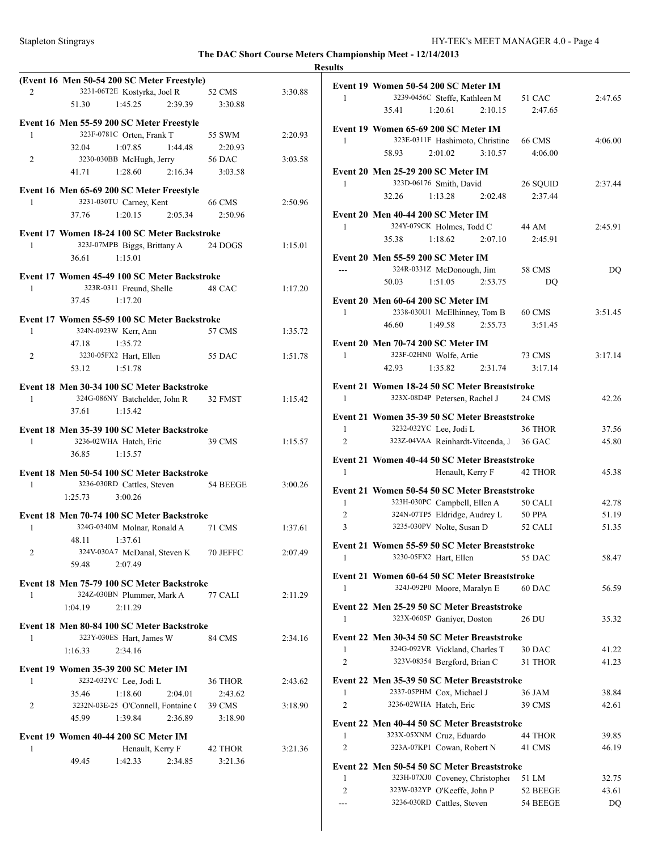|                |                                                                                   |               | <b>Results</b> |
|----------------|-----------------------------------------------------------------------------------|---------------|----------------|
|                | (Event 16 Men 50-54 200 SC Meter Freestyle)                                       |               |                |
| 2              | 3231-06T2E Kostyrka, Joel R                                                       | 52 CMS        | 3:30.88        |
|                | 2:39.39<br>51.30<br>1:45.25                                                       | 3:30.88       |                |
|                | Event 16 Men 55-59 200 SC Meter Freestyle                                         |               |                |
| 1              | 323F-0781C Orten, Frank T                                                         | 55 SWM        | 2:20.93        |
|                | 32.04<br>1:07.85<br>1:44.48                                                       | 2:20.93       |                |
| 2              | 3230-030BB McHugh, Jerry                                                          | <b>56 DAC</b> | 3:03.58        |
|                | 1:28.60<br>2:16.34<br>41.71                                                       | 3:03.58       |                |
|                | Event 16 Men 65-69 200 SC Meter Freestyle                                         |               |                |
| 1              | 3231-030TU Carney, Kent                                                           | 66 CMS        | 2:50.96        |
|                | 2:05.34<br>37.76<br>1:20.15                                                       | 2:50.96       |                |
|                |                                                                                   |               |                |
|                | Event 17 Women 18-24 100 SC Meter Backstroke                                      |               |                |
| 1              | 323J-07MPB Biggs, Brittany A                                                      | 24 DOGS       | 1:15.01        |
|                | 36.61<br>1:15.01                                                                  |               |                |
|                | Event 17 Women 45-49 100 SC Meter Backstroke                                      |               |                |
| 1              | 323R-0311 Freund, Shelle                                                          | 48 CAC        | 1:17.20        |
|                | 37.45<br>1:17.20                                                                  |               |                |
|                | Event 17 Women 55-59 100 SC Meter Backstroke                                      |               |                |
| 1              | 324N-0923W Kerr, Ann                                                              | 57 CMS        | 1:35.72        |
|                | 47.18<br>1:35.72                                                                  |               |                |
| 2              | 3230-05FX2 Hart, Ellen                                                            | 55 DAC        | 1:51.78        |
|                | 1:51.78<br>53.12                                                                  |               |                |
|                |                                                                                   |               |                |
|                | Event 18 Men 30-34 100 SC Meter Backstroke                                        |               |                |
| 1              | 324G-086NY Batchelder, John R 32 FMST                                             |               | 1:15.42        |
|                | 37.61<br>1:15.42                                                                  |               |                |
|                | Event 18 Men 35-39 100 SC Meter Backstroke                                        |               |                |
| 1              | 3236-02WHA Hatch, Eric                                                            | 39 CMS        | 1:15.57        |
|                | 1:15.57<br>36.85                                                                  |               |                |
|                |                                                                                   |               |                |
| 1              | Event 18 Men 50-54 100 SC Meter Backstroke<br>3236-030RD Cattles, Steven 54 BEEGE |               | 3:00.26        |
|                | $1:25.73$ $3:00.26$                                                               |               |                |
|                |                                                                                   |               |                |
|                | Event 18 Men 70-74 100 SC Meter Backstroke                                        |               |                |
| 1              | 324G-0340M Molnar, Ronald A 71 CMS                                                |               | 1:37.61        |
|                | 48.11<br>1:37.61                                                                  |               |                |
| 2              | 324V-030A7 McDanal, Steven K 70 JEFFC                                             |               | 2:07.49        |
|                | 2:07.49<br>59.48                                                                  |               |                |
|                | Event 18 Men 75-79 100 SC Meter Backstroke                                        |               |                |
| 1              | 324Z-030BN Plummer, Mark A                                                        | 77 CALI       | 2:11.29        |
|                | 2:11.29<br>1:04.19                                                                |               |                |
|                |                                                                                   |               |                |
| 1              | Event 18 Men 80-84 100 SC Meter Backstroke                                        |               | 2:34.16        |
|                | 323Y-030ES Hart, James W<br>1:16.33<br>2:34.16                                    | 84 CMS        |                |
|                |                                                                                   |               |                |
|                | Event 19 Women 35-39 200 SC Meter IM                                              |               |                |
| 1              | 3232-032YC Lee, Jodi L                                                            | 36 THOR       | 2:43.62        |
|                | 35.46<br>1:18.60<br>2:04.01                                                       | 2:43.62       |                |
| $\overline{2}$ | 3232N-03E-25 O'Connell, Fontaine C                                                | 39 CMS        | 3:18.90        |
|                | 1:39.84<br>2:36.89<br>45.99                                                       | 3:18.90       |                |
|                |                                                                                   |               |                |
| 1              | Event 19 Women 40-44 200 SC Meter IM<br>Henault, Kerry F                          | 42 THOR       | 3:21.36        |
|                | 49.45<br>1:42.33<br>2:34.85                                                       | 3:21.36       |                |
|                |                                                                                   |               |                |
|                |                                                                                   |               |                |
|                |                                                                                   |               |                |

|                | Event 19 Women 50-54 200 SC Meter IM                                    |                  |                |
|----------------|-------------------------------------------------------------------------|------------------|----------------|
| 1              | 3239-0456C Steffe, Kathleen M                                           | 51 CAC           | 2:47.65        |
|                | 2:10.15<br>35.41<br>1:20.61                                             | 2:47.65          |                |
|                |                                                                         |                  |                |
| 1              | Event 19 Women 65-69 200 SC Meter IM<br>323E-0311F Hashimoto, Christine |                  | 4:06.00        |
|                | 3:10.57                                                                 | 66 CMS           |                |
|                | 58.93<br>2:01.02                                                        | 4:06.00          |                |
|                | Event 20 Men 25-29 200 SC Meter IM                                      |                  |                |
| 1              | 323D-06176 Smith, David                                                 | 26 SQUID         | 2:37.44        |
|                | 32.26<br>1:13.28<br>2:02.48                                             | 2:37.44          |                |
|                | Event 20 Men 40-44 200 SC Meter IM                                      |                  |                |
| 1              | 324Y-079CK Holmes, Todd C                                               | 44 AM            | 2:45.91        |
|                | 2:07.10<br>35.38<br>1:18.62                                             | 2:45.91          |                |
|                |                                                                         |                  |                |
|                | Event 20 Men 55-59 200 SC Meter IM                                      |                  |                |
| $\overline{a}$ | 324R-0331Z McDonough, Jim                                               | <b>58 CMS</b>    | DQ             |
|                | 1:51.05<br>2:53.75<br>50.03                                             | DQ               |                |
|                | Event 20 Men 60-64 200 SC Meter IM                                      |                  |                |
| 1              | 2338-030U1 McElhinney, Tom B 60 CMS                                     |                  | 3:51.45        |
|                | 46.60<br>1:49.58<br>2:55.73                                             | 3:51.45          |                |
|                |                                                                         |                  |                |
|                | Event 20 Men 70-74 200 SC Meter IM                                      |                  |                |
| 1              | 323F-02HN0 Wolfe, Artie                                                 | 73 CMS           | 3:17.14        |
|                | 2:31.74<br>42.93<br>1:35.82                                             | 3:17.14          |                |
|                | Event 21 Women 18-24 50 SC Meter Breaststroke                           |                  |                |
| 1              | 323X-08D4P Petersen, Rachel J                                           | 24 CMS           | 42.26          |
|                | Event 21 Women 35-39 50 SC Meter Breaststroke                           |                  |                |
| 1              | 3232-032YC Lee, Jodi L                                                  | 36 THOR          | 37.56          |
| $\overline{2}$ | 323Z-04VAA Reinhardt-Vitcenda, J 36 GAC                                 |                  | 45.80          |
|                |                                                                         |                  |                |
|                |                                                                         |                  |                |
|                | Event 21 Women 40-44 50 SC Meter Breaststroke                           |                  |                |
| 1              | Henault, Kerry F                                                        | 42 THOR          | 45.38          |
|                |                                                                         |                  |                |
| 1              | Event 21 Women 50-54 50 SC Meter Breaststroke                           |                  | 42.78          |
| $\overline{c}$ | 323H-030PC Campbell, Ellen A 50 CALI                                    | 50 PPA           | 51.19          |
| 3              | 324N-07TP5 Eldridge, Audrey L<br>3235-030PV Nolte, Susan D              | 52 CALI          | 51.35          |
|                |                                                                         |                  |                |
|                | Event 21 Women 55-59 50 SC Meter Breaststroke                           |                  |                |
| $\perp$        | 3230-05FX2 Hart, Ellen                                                  | 55 DAC           | 58.47          |
|                | Event 21 Women 60-64 50 SC Meter Breaststroke                           |                  |                |
| 1              | 324J-092P0 Moore, Maralyn E                                             | 60 DAC           | 56.59          |
|                |                                                                         |                  |                |
|                | Event 22 Men 25-29 50 SC Meter Breaststroke                             |                  |                |
| 1              | 323X-0605P Ganiver, Doston                                              | 26 DU            | 35.32          |
|                | Event 22 Men 30-34 50 SC Meter Breaststroke                             |                  |                |
| 1              | 324G-092VR Vickland, Charles T                                          | 30 DAC           | 41.22          |
| $\overline{2}$ | 323V-08354 Bergford, Brian C                                            | 31 THOR          | 41.23          |
|                |                                                                         |                  |                |
| 1              | Event 22 Men 35-39 50 SC Meter Breaststroke                             |                  |                |
| $\overline{2}$ | 2337-05PHM Cox, Michael J<br>3236-02WHA Hatch, Eric                     | 36 JAM<br>39 CMS | 38.84<br>42.61 |
|                |                                                                         |                  |                |
|                | Event 22 Men 40-44 50 SC Meter Breaststroke                             |                  |                |
| 1              | 323X-05XNM Cruz, Eduardo                                                | 44 THOR          | 39.85          |
| $\overline{2}$ | 323A-07KP1 Cowan, Robert N                                              | 41 CMS           | 46.19          |
|                | Event 22 Men 50-54 50 SC Meter Breaststroke                             |                  |                |
| 1              | 323H-07XJ0 Coveney, Christopher                                         | 51 LM            | 32.75          |
| $\overline{2}$ | 323W-032YP O'Keeffe, John P                                             | 52 BEEGE         | 43.61          |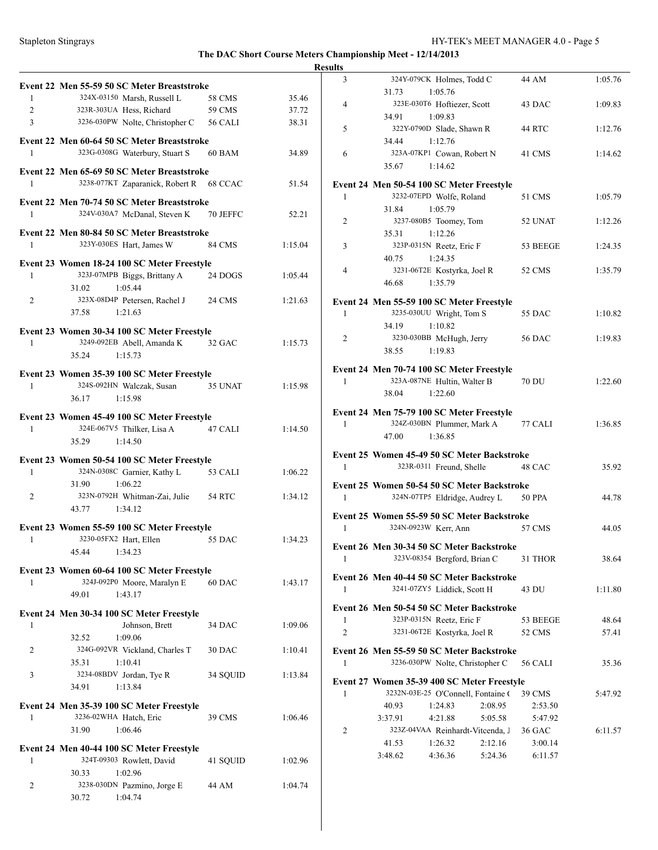### **Results**

| Event 22 Men 55-59 50 SC Meter Breaststroke<br>58 CMS<br>59 CMS | 35.46                                                                                                                                                                                                                                                                                                                                                                                                                                                                                                                                                                                              |
|-----------------------------------------------------------------|----------------------------------------------------------------------------------------------------------------------------------------------------------------------------------------------------------------------------------------------------------------------------------------------------------------------------------------------------------------------------------------------------------------------------------------------------------------------------------------------------------------------------------------------------------------------------------------------------|
|                                                                 |                                                                                                                                                                                                                                                                                                                                                                                                                                                                                                                                                                                                    |
|                                                                 |                                                                                                                                                                                                                                                                                                                                                                                                                                                                                                                                                                                                    |
|                                                                 | 37.72                                                                                                                                                                                                                                                                                                                                                                                                                                                                                                                                                                                              |
| 3236-030PW Nolte, Christopher C 56 CALI                         | 38.31                                                                                                                                                                                                                                                                                                                                                                                                                                                                                                                                                                                              |
| Event 22 Men 60-64 50 SC Meter Breaststroke                     | 34.89                                                                                                                                                                                                                                                                                                                                                                                                                                                                                                                                                                                              |
|                                                                 |                                                                                                                                                                                                                                                                                                                                                                                                                                                                                                                                                                                                    |
| 3238-077KT Zaparanick, Robert R 68 CCAC                         | 51.54                                                                                                                                                                                                                                                                                                                                                                                                                                                                                                                                                                                              |
| Event 22 Men 70-74 50 SC Meter Breaststroke                     |                                                                                                                                                                                                                                                                                                                                                                                                                                                                                                                                                                                                    |
|                                                                 | 52.21                                                                                                                                                                                                                                                                                                                                                                                                                                                                                                                                                                                              |
| Event 22 Men 80-84 50 SC Meter Breaststroke                     |                                                                                                                                                                                                                                                                                                                                                                                                                                                                                                                                                                                                    |
|                                                                 | 1:15.04                                                                                                                                                                                                                                                                                                                                                                                                                                                                                                                                                                                            |
| Event 23 Women 18-24 100 SC Meter Freestyle                     |                                                                                                                                                                                                                                                                                                                                                                                                                                                                                                                                                                                                    |
|                                                                 | 1:05.44                                                                                                                                                                                                                                                                                                                                                                                                                                                                                                                                                                                            |
|                                                                 |                                                                                                                                                                                                                                                                                                                                                                                                                                                                                                                                                                                                    |
|                                                                 | 1:21.63                                                                                                                                                                                                                                                                                                                                                                                                                                                                                                                                                                                            |
|                                                                 |                                                                                                                                                                                                                                                                                                                                                                                                                                                                                                                                                                                                    |
|                                                                 | 1:15.73                                                                                                                                                                                                                                                                                                                                                                                                                                                                                                                                                                                            |
|                                                                 |                                                                                                                                                                                                                                                                                                                                                                                                                                                                                                                                                                                                    |
|                                                                 |                                                                                                                                                                                                                                                                                                                                                                                                                                                                                                                                                                                                    |
|                                                                 | 1:15.98                                                                                                                                                                                                                                                                                                                                                                                                                                                                                                                                                                                            |
|                                                                 |                                                                                                                                                                                                                                                                                                                                                                                                                                                                                                                                                                                                    |
|                                                                 |                                                                                                                                                                                                                                                                                                                                                                                                                                                                                                                                                                                                    |
|                                                                 | 1:14.50                                                                                                                                                                                                                                                                                                                                                                                                                                                                                                                                                                                            |
|                                                                 |                                                                                                                                                                                                                                                                                                                                                                                                                                                                                                                                                                                                    |
|                                                                 |                                                                                                                                                                                                                                                                                                                                                                                                                                                                                                                                                                                                    |
|                                                                 | 1:06.22                                                                                                                                                                                                                                                                                                                                                                                                                                                                                                                                                                                            |
|                                                                 |                                                                                                                                                                                                                                                                                                                                                                                                                                                                                                                                                                                                    |
| 323N-0792H Whitman-Zai, Julie 54 RTC                            | 1:34.12                                                                                                                                                                                                                                                                                                                                                                                                                                                                                                                                                                                            |
|                                                                 |                                                                                                                                                                                                                                                                                                                                                                                                                                                                                                                                                                                                    |
| Event 23 Women 55-59 100 SC Meter Freestyle                     |                                                                                                                                                                                                                                                                                                                                                                                                                                                                                                                                                                                                    |
|                                                                 | 1:34.23                                                                                                                                                                                                                                                                                                                                                                                                                                                                                                                                                                                            |
|                                                                 |                                                                                                                                                                                                                                                                                                                                                                                                                                                                                                                                                                                                    |
| Event 23 Women 60-64 100 SC Meter Freestyle                     |                                                                                                                                                                                                                                                                                                                                                                                                                                                                                                                                                                                                    |
| 60 DAC                                                          | 1:43.17                                                                                                                                                                                                                                                                                                                                                                                                                                                                                                                                                                                            |
|                                                                 |                                                                                                                                                                                                                                                                                                                                                                                                                                                                                                                                                                                                    |
|                                                                 |                                                                                                                                                                                                                                                                                                                                                                                                                                                                                                                                                                                                    |
|                                                                 | 1:09.06                                                                                                                                                                                                                                                                                                                                                                                                                                                                                                                                                                                            |
|                                                                 | 1:10.41                                                                                                                                                                                                                                                                                                                                                                                                                                                                                                                                                                                            |
|                                                                 |                                                                                                                                                                                                                                                                                                                                                                                                                                                                                                                                                                                                    |
| 34 SOUID                                                        | 1:13.84                                                                                                                                                                                                                                                                                                                                                                                                                                                                                                                                                                                            |
|                                                                 |                                                                                                                                                                                                                                                                                                                                                                                                                                                                                                                                                                                                    |
|                                                                 |                                                                                                                                                                                                                                                                                                                                                                                                                                                                                                                                                                                                    |
| 39 CMS                                                          | 1:06.46                                                                                                                                                                                                                                                                                                                                                                                                                                                                                                                                                                                            |
|                                                                 |                                                                                                                                                                                                                                                                                                                                                                                                                                                                                                                                                                                                    |
|                                                                 |                                                                                                                                                                                                                                                                                                                                                                                                                                                                                                                                                                                                    |
| 41 SQUID                                                        | 1:02.96                                                                                                                                                                                                                                                                                                                                                                                                                                                                                                                                                                                            |
|                                                                 |                                                                                                                                                                                                                                                                                                                                                                                                                                                                                                                                                                                                    |
|                                                                 |                                                                                                                                                                                                                                                                                                                                                                                                                                                                                                                                                                                                    |
| 44 AM                                                           | 1:04.74                                                                                                                                                                                                                                                                                                                                                                                                                                                                                                                                                                                            |
|                                                                 | 60 BAM<br>Event 22 Men 65-69 50 SC Meter Breaststroke<br>324V-030A7 McDanal, Steven K 70 JEFFC<br>323Y-030ES Hart, James W 84 CMS<br>323J-07MPB Biggs, Brittany A 24 DOGS<br>323X-08D4P Petersen, Rachel J 24 CMS<br>Event 23 Women 30-34 100 SC Meter Freestyle<br>3249-092EB Abell, Amanda K 32 GAC<br>Event 23 Women 35-39 100 SC Meter Freestyle<br>324S-092HN Walczak, Susan 35 UNAT<br>Event 23 Women 45-49 100 SC Meter Freestyle<br>324E-067V5 Thilker, Lisa A 47 CALI<br>Event 23 Women 50-54 100 SC Meter Freestyle<br>324N-0308C Garnier, Kathy L 53 CALI<br>55 DAC<br>34 DAC<br>30 DAC |

| шэ             |                                                                              |               |         |
|----------------|------------------------------------------------------------------------------|---------------|---------|
| 3              | 324Y-079CK Holmes, Todd C                                                    | 44 AM         | 1:05.76 |
|                | 1:05.76<br>31.73                                                             |               |         |
| 4              | 323E-030T6 Hoftiezer, Scott                                                  | 43 DAC        | 1:09.83 |
| 5              | 1:09.83<br>34.91<br>322Y-0790D Slade, Shawn R                                |               | 1:12.76 |
|                | 1:12.76<br>34.44                                                             | 44 RTC        |         |
| 6              | 323A-07KP1 Cowan, Robert N                                                   | 41 CMS        | 1:14.62 |
|                | 1:14.62<br>35.67                                                             |               |         |
|                |                                                                              |               |         |
|                | Event 24 Men 50-54 100 SC Meter Freestyle                                    |               |         |
| 1              | 3232-07EPD Wolfe, Roland                                                     | 51 CMS        | 1:05.79 |
|                | 1:05.79<br>31.84                                                             |               |         |
| 2              | 3237-080B5 Toomey, Tom                                                       | 52 UNAT       | 1:12.26 |
| 3              | 1:12.26<br>35.31<br>323P-0315N Reetz, Eric F                                 |               |         |
|                | 40.75<br>1:24.35                                                             | 53 BEEGE      | 1:24.35 |
| $\overline{4}$ | 3231-06T2E Kostyrka, Joel R                                                  | 52 CMS        | 1:35.79 |
|                | 1:35.79<br>46.68                                                             |               |         |
|                |                                                                              |               |         |
|                | Event 24 Men 55-59 100 SC Meter Freestyle                                    |               |         |
| 1              | 3235-030UU Wright, Tom S                                                     | 55 DAC        | 1:10.82 |
|                | 1:10.82<br>34.19                                                             |               |         |
| 2              | 3230-030BB McHugh, Jerry                                                     | <b>56 DAC</b> | 1:19.83 |
|                | 1:19.83<br>38.55                                                             |               |         |
|                | Event 24 Men 70-74 100 SC Meter Freestyle                                    |               |         |
| $\mathbf{1}$   | 323A-087NE Hultin, Walter B                                                  | <b>70 DU</b>  | 1:22.60 |
|                | 38.04<br>1:22.60                                                             |               |         |
|                | Event 24 Men 75-79 100 SC Meter Freestyle                                    |               |         |
| 1              | 324Z-030BN Plummer, Mark A                                                   | 77 CALI       | 1:36.85 |
|                | 1:36.85<br>47.00                                                             |               |         |
|                |                                                                              |               |         |
| 1              | Event 25 Women 45-49 50 SC Meter Backstroke                                  | 48 CAC        | 35.92   |
|                | 323R-0311 Freund, Shelle                                                     |               |         |
|                | Event 25 Women 50-54 50 SC Meter Backstroke                                  |               |         |
| $\mathbf{1}$   | 324N-07TP5 Eldridge, Audrey L                                                | <b>50 PPA</b> | 44.78   |
|                | Event 25 Women 55-59 50 SC Meter Backstroke                                  |               |         |
| 1              | 324N-0923W Kerr, Ann                                                         | <b>57 CMS</b> | 44.05   |
|                |                                                                              |               |         |
|                | Event 26 Men 30-34 50 SC Meter Backstroke                                    |               |         |
| 1              | 323V-08354 Bergford, Brian C                                                 | 31 THOR       | 38.64   |
|                | Event 26 Men 40-44 50 SC Meter Backstroke                                    |               |         |
| 1              | 3241-07ZY5 Liddick, Scott H                                                  | 43 DU         | 1:11.80 |
|                | Event 26 Men 50-54 50 SC Meter Backstroke                                    |               |         |
| 1              | 323P-0315N Reetz, Eric F                                                     | 53 BEEGE      | 48.64   |
| $\overline{c}$ | 3231-06T2E Kostyrka, Joel R                                                  | 52 CMS        | 57.41   |
|                |                                                                              |               |         |
|                | Event 26 Men 55-59 50 SC Meter Backstroke<br>3236-030PW Nolte, Christopher C |               |         |
| 1              |                                                                              | 56 CALI       | 35.36   |
|                | Event 27 Women 35-39 400 SC Meter Freestyle                                  |               |         |
| 1              | 3232N-03E-25 O'Connell, Fontaine (                                           | 39 CMS        | 5:47.92 |
|                | 1:24.83<br>2:08.95<br>40.93                                                  | 2:53.50       |         |
|                | 3:37.91<br>4:21.88<br>5:05.58                                                | 5:47.92       |         |
| 2              |                                                                              |               |         |
|                | 323Z-04VAA Reinhardt-Vitcenda, J                                             | 36 GAC        | 6:11.57 |
|                | 2:12.16<br>1:26.32<br>41.53                                                  | 3:00.14       |         |
|                | 3:48.62<br>4:36.36<br>5:24.36                                                | 6:11.57       |         |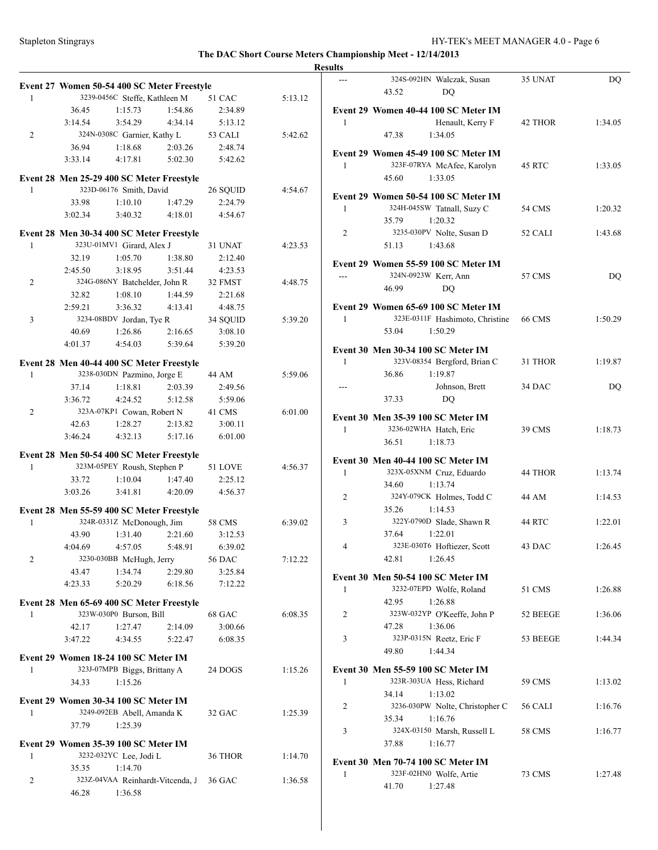|              |         | Event 27 Women 50-54 400 SC Meter Freestyle |         |               |         |
|--------------|---------|---------------------------------------------|---------|---------------|---------|
| 1            |         | 3239-0456C Steffe, Kathleen M               |         | 51 CAC        | 5:13.12 |
|              | 36.45   | 1:15.73                                     | 1:54.86 | 2:34.89       |         |
|              | 3:14.54 | 3:54.29                                     | 4:34.14 | 5:13.12       |         |
| 2            |         | 324N-0308C Garnier, Kathy L                 |         | 53 CALI       | 5:42.62 |
|              | 36.94   | 1:18.68                                     | 2:03.26 | 2:48.74       |         |
|              |         |                                             |         |               |         |
|              | 3:33.14 | 4:17.81                                     | 5:02.30 | 5:42.62       |         |
|              |         | Event 28 Men 25-29 400 SC Meter Freestyle   |         |               |         |
| 1            |         | 323D-06176 Smith, David                     |         | 26 SQUID      | 4:54.67 |
|              | 33.98   | 1:10.10                                     | 1:47.29 | 2:24.79       |         |
|              | 3:02.34 | 3:40.32                                     | 4:18.01 | 4:54.67       |         |
|              |         |                                             |         |               |         |
|              |         | Event 28 Men 30-34 400 SC Meter Freestyle   |         |               |         |
| 1            |         | 323U-01MV1 Girard, Alex J                   |         | 31 UNAT       | 4:23.53 |
|              | 32.19   | 1:05.70                                     | 1:38.80 | 2:12.40       |         |
|              | 2:45.50 | 3:18.95                                     | 3:51.44 | 4:23.53       |         |
| 2            |         | 324G-086NY Batchelder, John R               |         | 32 FMST       | 4:48.75 |
|              | 32.82   | 1:08.10                                     | 1:44.59 | 2:21.68       |         |
|              | 2:59.21 | 3:36.32                                     | 4:13.41 | 4:48.75       |         |
| 3            |         | 3234-08BDV Jordan, Tye R                    |         | 34 SQUID      | 5:39.20 |
|              | 40.69   | 1:26.86                                     | 2:16.65 | 3:08.10       |         |
|              | 4:01.37 | 4:54.03                                     | 5:39.64 | 5:39.20       |         |
|              |         |                                             |         |               |         |
|              |         | Event 28 Men 40-44 400 SC Meter Freestyle   |         |               |         |
| 1            |         | 3238-030DN Pazmino, Jorge E                 |         | 44 AM         | 5:59.06 |
|              | 37.14   | 1:18.81                                     | 2:03.39 | 2:49.56       |         |
|              | 3:36.72 | 4:24.52                                     | 5:12.58 | 5:59.06       |         |
| 2            |         | 323A-07KP1 Cowan, Robert N                  |         | 41 CMS        | 6:01.00 |
|              | 42.63   | 1:28.27                                     | 2:13.82 | 3:00.11       |         |
|              | 3:46.24 | 4:32.13                                     | 5:17.16 | 6:01.00       |         |
|              |         |                                             |         |               |         |
|              |         | Event 28 Men 50-54 400 SC Meter Freestyle   |         |               |         |
| 1            |         | 323M-05PEY Roush, Stephen P                 |         | 51 LOVE       | 4:56.37 |
|              | 33.72   | 1:10.04                                     | 1:47.40 | 2:25.12       |         |
|              | 3:03.26 | 3:41.81                                     | 4:20.09 | 4:56.37       |         |
|              |         |                                             |         |               |         |
|              |         | Event 28 Men 55-59 400 SC Meter Freestyle   |         |               |         |
| $\mathbf{1}$ |         | 324R-0331Z McDonough, Jim                   |         | <b>58 CMS</b> | 6:39.02 |
|              | 43.90   | 1:31.40                                     | 2:21.60 | 3:12.53       |         |
|              |         | 4:04.69 4:57.05                             | 5:48.91 | 6:39.02       |         |
| 2            |         | 3230-030BB McHugh, Jerry                    |         | 56 DAC        | 7:12.22 |
|              | 43.47   | 1:34.74                                     | 2:29.80 | 3:25.84       |         |
|              | 4:23.33 | 5:20.29                                     | 6:18.56 | 7:12.22       |         |
|              |         |                                             |         |               |         |
|              |         | Event 28 Men 65-69 400 SC Meter Freestyle   |         |               |         |
| 1            |         | 323W-030P0 Burson, Bill                     |         | 68 GAC        | 6:08.35 |
|              | 42.17   | 1:27.47                                     | 2:14.09 | 3:00.66       |         |
|              | 3:47.22 | 4:34.55                                     | 5:22.47 | 6:08.35       |         |
|              |         | Event 29 Women 18-24 100 SC Meter IM        |         |               |         |
| 1            |         | 323J-07MPB Biggs, Brittany A                |         | 24 DOGS       | 1:15.26 |
|              |         |                                             |         |               |         |
|              | 34.33   | 1:15.26                                     |         |               |         |
|              |         | Event 29 Women 30-34 100 SC Meter IM        |         |               |         |
| 1            |         | 3249-092EB Abell, Amanda K                  |         | 32 GAC        | 1:25.39 |
|              | 37.79   | 1:25.39                                     |         |               |         |
|              |         |                                             |         |               |         |
|              |         | Event 29 Women 35-39 100 SC Meter IM        |         |               |         |
| 1            |         | 3232-032YC Lee, Jodi L                      |         | 36 THOR       | 1:14.70 |
|              | 35.35   | 1:14.70                                     |         |               |         |
| 2            |         | 323Z-04VAA Reinhardt-Vitcenda, J            |         | 36 GAC        | 1:36.58 |
|              | 46.28   | 1:36.58                                     |         |               |         |

| <b>Results</b> |                                                                                             |          |         |
|----------------|---------------------------------------------------------------------------------------------|----------|---------|
|                | 324S-092HN Walczak, Susan<br>43.52<br>DO                                                    | 35 UNAT  | DQ      |
| 1              | Event 29 Women 40-44 100 SC Meter IM<br>Henault, Kerry F<br>1:34.05<br>47.38                | 42 THOR  | 1:34.05 |
| 1              | Event 29 Women 45-49 100 SC Meter IM<br>323F-07RYA McAfee, Karolyn<br>1:33.05<br>45.60      | 45 RTC   | 1:33.05 |
| 1              | Event 29 Women 50-54 100 SC Meter IM<br>324H-045SW Tatnall, Suzy C<br>35.79<br>1:20.32      | 54 CMS   | 1:20.32 |
| 2              | 3235-030PV Nolte, Susan D<br>1:43.68<br>51.13                                               | 52 CALI  | 1:43.68 |
| $\overline{a}$ | Event 29 Women 55-59 100 SC Meter IM<br>324N-0923W Kerr, Ann<br>46.99<br>DQ                 | 57 CMS   | DQ      |
| 1              | Event 29 Women 65-69 100 SC Meter IM<br>323E-0311F Hashimoto, Christine<br>1:50.29<br>53.04 | 66 CMS   | 1:50.29 |
| 1              | Event 30 Men 30-34 100 SC Meter IM<br>323V-08354 Bergford, Brian C<br>36.86<br>1:19.87      | 31 THOR  | 1:19.87 |
|                | Johnson, Brett<br>37.33<br>DQ                                                               | 34 DAC   | DQ      |
| 1              | Event 30 Men 35-39 100 SC Meter IM<br>3236-02WHA Hatch, Eric<br>36.51<br>1:18.73            | 39 CMS   | 1:18.73 |
| 1              | Event 30 Men 40-44 100 SC Meter IM<br>323X-05XNM Cruz, Eduardo<br>34.60 1:13.74             | 44 THOR  | 1:13.74 |
| 2              | 324Y-079CK Holmes, Todd C<br>35.26<br>1:14.53                                               | 44 AM    | 1:14.53 |
| 3              | 322Y-0790D Slade, Shawn R<br>37.64<br>1:22.01                                               | 44 RTC   | 1:22.01 |
| 4              | 323E-030T6 Hoftiezer, Scott<br>42.81<br>1:26.45                                             | 43 DAC   | 1:26.45 |
| 1              | Event 30 Men 50-54 100 SC Meter IM<br>3232-07EPD Wolfe, Roland<br>42.95<br>1:26.88          | 51 CMS   | 1:26.88 |
| 2              | 323W-032YP O'Keeffe, John P<br>1:36.06<br>47.28                                             | 52 BEEGE | 1:36.06 |
| 3              | 323P-0315N Reetz, Eric F<br>49.80<br>1:44.34                                                | 53 BEEGE | 1:44.34 |
| 1              | Event 30 Men 55-59 100 SC Meter IM<br>323R-303UA Hess, Richard<br>34.14<br>1:13.02          | 59 CMS   | 1:13.02 |
| 2              | 3236-030PW Nolte, Christopher C<br>1:16.76<br>35.34                                         | 56 CALI  | 1:16.76 |
| 3              | 324X-03150 Marsh, Russell L<br>1:16.77<br>37.88                                             | 58 CMS   | 1:16.77 |
| 1              | Event 30 Men 70-74 100 SC Meter IM<br>323F-02HN0 Wolfe, Artie<br>41.70<br>1:27.48           | 73 CMS   | 1:27.48 |